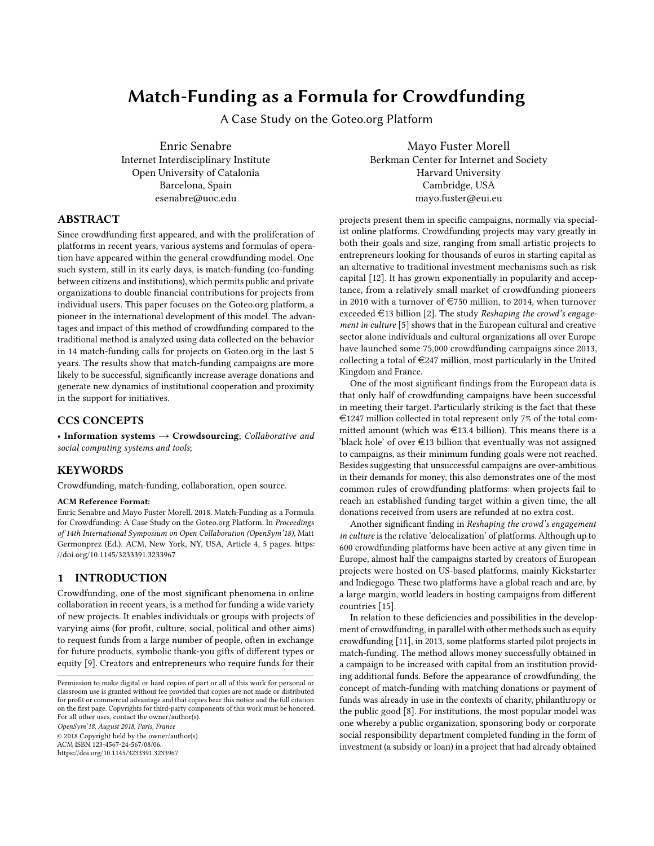# Match-Funding as a Formula for Crowdfunding

A Case Study on the Goteo.org Platform

Enric Senabre Internet Interdisciplinary Institute Open University of Catalonia Barcelona, Spain esenabre@uoc.edu

ABSTRACT

Since crowdfunding first appeared, and with the proliferation of platforms in recent years, various systems and formulas of operation have appeared within the general crowdfunding model. One such system, still in its early days, is match-funding (co-funding between citizens and institutions), which permits public and private organizations to double financial contributions for projects from individual users. This paper focuses on the Goteo.org platform, a pioneer in the international development of this model. The advantages and impact of this method of crowdfunding compared to the traditional method is analyzed using data collected on the behavior in 14 match-funding calls for projects on Goteo.org in the last 5 years. The results show that match-funding campaigns are more likely to be successful, significantly increase average donations and generate new dynamics of institutional cooperation and proximity in the support for initiatives.

## CCS CONCEPTS

• Information systems  $\rightarrow$  Crowdsourcing; Collaborative and social computing systems and tools;

## KEYWORDS

Crowdfunding, match-funding, collaboration, open source.

#### ACM Reference Format:

Enric Senabre and Mayo Fuster Morell. 2018. Match-Funding as a Formula for Crowdfunding: A Case Study on the Goteo.org Platform. In Proceedings of 14th International Symposium on Open Collaboration (OpenSym'18), Matt Germonprez (Ed.). ACM, New York, NY, USA, Article 4, [5](#page-4-0) pages. [https:](https://doi.org/10.1145/3233391.3233967) [//doi.org/10.1145/3233391.3233967](https://doi.org/10.1145/3233391.3233967)

#### 1 INTRODUCTION

Crowdfunding, one of the most significant phenomena in online collaboration in recent years, is a method for funding a wide variety of new projects. It enables individuals or groups with projects of varying aims (for profit, culture, social, political and other aims) to request funds from a large number of people, often in exchange for future products, symbolic thank-you gifts of different types or equity [\[9\]](#page-4-1). Creators and entrepreneurs who require funds for their

OpenSym'18, August 2018, Paris, France

© 2018 Copyright held by the owner/author(s). ACM ISBN 123-4567-24-567/08/06. <https://doi.org/10.1145/3233391.3233967>

Mayo Fuster Morell Berkman Center for Internet and Society Harvard University Cambridge, USA mayo.fuster@eui.eu

projects present them in specific campaigns, normally via specialist online platforms. Crowdfunding projects may vary greatly in both their goals and size, ranging from small artistic projects to entrepreneurs looking for thousands of euros in starting capital as an alternative to traditional investment mechanisms such as risk capital [\[12\]](#page-4-2). It has grown exponentially in popularity and acceptance, from a relatively small market of crowdfunding pioneers in 2010 with a turnover of  $\epsilon$ 750 million, to 2014, when turnover exceeded  $\in$ 13 billion [\[2\]](#page-4-3). The study Reshaping the crowd's engagement in culture [\[5\]](#page-4-4) shows that in the European cultural and creative sector alone individuals and cultural organizations all over Europe have launched some 75,000 crowdfunding campaigns since 2013, collecting a total of  $\in$  247 million, most particularly in the United Kingdom and France.

One of the most significant findings from the European data is that only half of crowdfunding campaigns have been successful in meeting their target. Particularly striking is the fact that these  $E1247$  million collected in total represent only 7% of the total committed amount (which was  $\in$ 13.4 billion). This means there is a 'black hole' of over  $\epsilon$ 13 billion that eventually was not assigned to campaigns, as their minimum funding goals were not reached. Besides suggesting that unsuccessful campaigns are over-ambitious in their demands for money, this also demonstrates one of the most common rules of crowdfunding platforms: when projects fail to reach an established funding target within a given time, the all donations received from users are refunded at no extra cost.

Another significant finding in Reshaping the crowd's engagement in culture is the relative 'delocalization' of platforms. Although up to 600 crowdfunding platforms have been active at any given time in Europe, almost half the campaigns started by creators of European projects were hosted on US-based platforms, mainly Kickstarter and Indiegogo. These two platforms have a global reach and are, by a large margin, world leaders in hosting campaigns from different countries [\[15\]](#page-4-5).

In relation to these deficiencies and possibilities in the development of crowdfunding, in parallel with other methods such as equity crowdfunding [\[11\]](#page-4-6), in 2013, some platforms started pilot projects in match-funding. The method allows money successfully obtained in a campaign to be increased with capital from an institution providing additional funds. Before the appearance of crowdfunding, the concept of match-funding with matching donations or payment of funds was already in use in the contexts of charity, philanthropy or the public good [\[8\]](#page-4-7). For institutions, the most popular model was one whereby a public organization, sponsoring body or corporate social responsibility department completed funding in the form of investment (a subsidy or loan) in a project that had already obtained

Permission to make digital or hard copies of part or all of this work for personal or classroom use is granted without fee provided that copies are not made or distributed for profit or commercial advantage and that copies bear this notice and the full citation on the first page. Copyrights for third-party components of this work must be honored. For all other uses, contact the owner/author(s).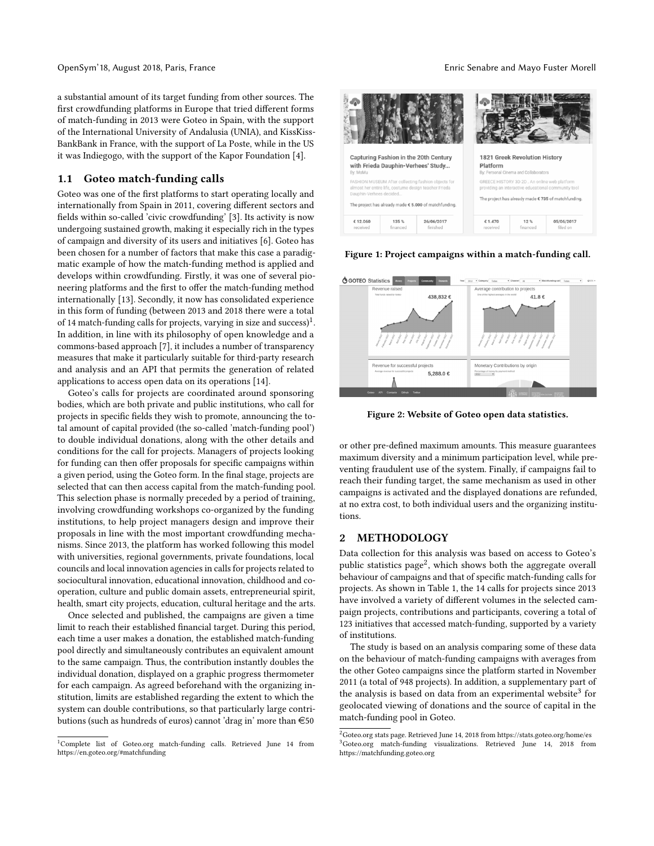a substantial amount of its target funding from other sources. The first crowdfunding platforms in Europe that tried different forms of match-funding in 2013 were Goteo in Spain, with the support of the International University of Andalusia (UNIA), and KissKiss-BankBank in France, with the support of La Poste, while in the US it was Indiegogo, with the support of the Kapor Foundation [\[4\]](#page-4-8).

#### 1.1 Goteo match-funding calls

Goteo was one of the first platforms to start operating locally and internationally from Spain in 2011, covering different sectors and fields within so-called 'civic crowdfunding' [\[3\]](#page-4-9). Its activity is now undergoing sustained growth, making it especially rich in the types of campaign and diversity of its users and initiatives [\[6\]](#page-4-10). Goteo has been chosen for a number of factors that make this case a paradigmatic example of how the match-funding method is applied and develops within crowdfunding. Firstly, it was one of several pioneering platforms and the first to offer the match-funding method internationally [\[13\]](#page-4-11). Secondly, it now has consolidated experience in this form of funding (between 2013 and 2018 there were a total of [1](#page-1-0)4 match-funding calls for projects, varying in size and success) $^1$ . In addition, in line with its philosophy of open knowledge and a commons-based approach [\[7\]](#page-4-12), it includes a number of transparency measures that make it particularly suitable for third-party research and analysis and an API that permits the generation of related applications to access open data on its operations [\[14\]](#page-4-13).

Goteo's calls for projects are coordinated around sponsoring bodies, which are both private and public institutions, who call for projects in specific fields they wish to promote, announcing the total amount of capital provided (the so-called 'match-funding pool') to double individual donations, along with the other details and conditions for the call for projects. Managers of projects looking for funding can then offer proposals for specific campaigns within a given period, using the Goteo form. In the final stage, projects are selected that can then access capital from the match-funding pool. This selection phase is normally preceded by a period of training, involving crowdfunding workshops co-organized by the funding institutions, to help project managers design and improve their proposals in line with the most important crowdfunding mechanisms. Since 2013, the platform has worked following this model with universities, regional governments, private foundations, local councils and local innovation agencies in calls for projects related to sociocultural innovation, educational innovation, childhood and cooperation, culture and public domain assets, entrepreneurial spirit, health, smart city projects, education, cultural heritage and the arts.

Once selected and published, the campaigns are given a time limit to reach their established financial target. During this period, each time a user makes a donation, the established match-funding pool directly and simultaneously contributes an equivalent amount to the same campaign. Thus, the contribution instantly doubles the individual donation, displayed on a graphic progress thermometer for each campaign. As agreed beforehand with the organizing institution, limits are established regarding the extent to which the system can double contributions, so that particularly large contributions (such as hundreds of euros) cannot 'drag in' more than  $\epsilon$ 50

OpenSym'18, August 2018, Paris, France Enric Senabre and Mayo Fuster Morell



Figure 1: Project campaigns within a match-funding call.



Figure 2: Website of Goteo open data statistics.

or other pre-defined maximum amounts. This measure guarantees maximum diversity and a minimum participation level, while preventing fraudulent use of the system. Finally, if campaigns fail to reach their funding target, the same mechanism as used in other campaigns is activated and the displayed donations are refunded, at no extra cost, to both individual users and the organizing institutions.

#### 2 METHODOLOGY

Data collection for this analysis was based on access to Goteo's public statistics page<sup>[2](#page-1-1)</sup>, which shows both the aggregate overall behaviour of campaigns and that of specific match-funding calls for projects. As shown in Table 1, the 14 calls for projects since 2013 have involved a variety of different volumes in the selected campaign projects, contributions and participants, covering a total of 123 initiatives that accessed match-funding, supported by a variety of institutions.

The study is based on an analysis comparing some of these data on the behaviour of match-funding campaigns with averages from the other Goteo campaigns since the platform started in November 2011 (a total of 948 projects). In addition, a supplementary part of the analysis is based on data from an experimental website<sup>[3](#page-1-2)</sup> for geolocated viewing of donations and the source of capital in the match-funding pool in Goteo.

<span id="page-1-0"></span><sup>1</sup>Complete list of Goteo.org match-funding calls. Retrieved June 14 from https://en.goteo.org/#matchfunding

<span id="page-1-2"></span><span id="page-1-1"></span> $^2\rm{Goteo.org}$  stats page. Retrieved June 14, 2018 from https://stats.goteo.org/home/es <sup>3</sup>Goteo.org match-funding visualizations. Retrieved June 14, 2018 from https://matchfunding.goteo.org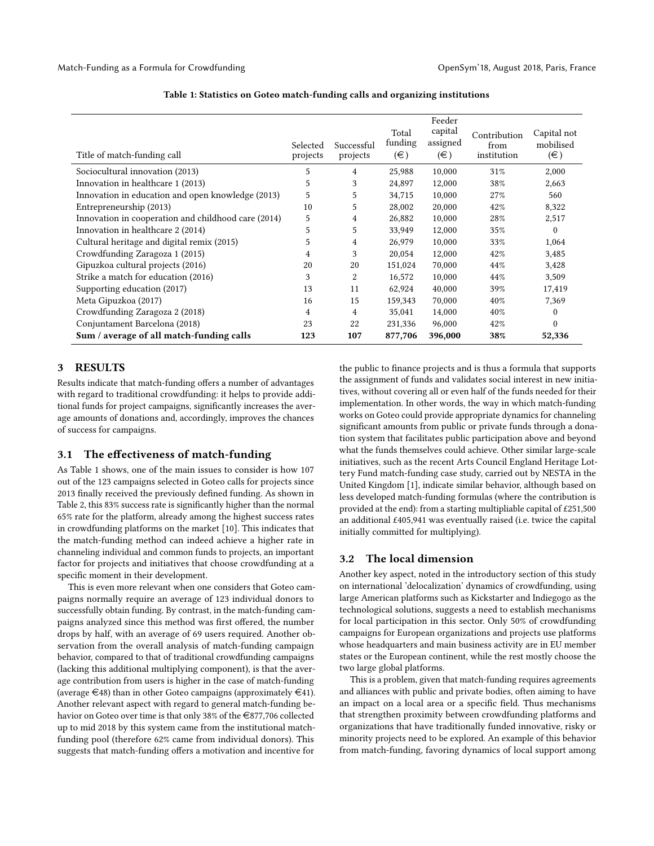| Title of match-funding call                         | Selected<br>projects | Successful<br>projects | Total<br>funding<br>$(\in)$ | Feeder<br>capital<br>assigned<br>$(\in)$ | Contribution<br>from<br>institution | Capital not<br>mobilised<br>$(\in)$ |
|-----------------------------------------------------|----------------------|------------------------|-----------------------------|------------------------------------------|-------------------------------------|-------------------------------------|
| Sociocultural innovation (2013)                     | 5                    | 4                      | 25,988                      | 10,000                                   | 31%                                 | 2,000                               |
| Innovation in healthcare 1 (2013)                   | 5                    | 3                      | 24,897                      | 12,000                                   | 38%                                 | 2,663                               |
| Innovation in education and open knowledge (2013)   | 5                    | 5                      | 34,715                      | 10,000                                   | 27%                                 | 560                                 |
| Entrepreneurship (2013)                             | 10                   | 5                      | 28,002                      | 20,000                                   | 42%                                 | 8,322                               |
| Innovation in cooperation and childhood care (2014) | 5                    | 4                      | 26,882                      | 10,000                                   | 28%                                 | 2,517                               |
| Innovation in healthcare 2 (2014)                   | 5                    | 5                      | 33,949                      | 12,000                                   | 35%                                 | $\Omega$                            |
| Cultural heritage and digital remix (2015)          | 5                    | 4                      | 26,979                      | 10,000                                   | 33%                                 | 1,064                               |
| Crowdfunding Zaragoza 1 (2015)                      | 4                    | 3                      | 20,054                      | 12,000                                   | 42%                                 | 3,485                               |
| Gipuzkoa cultural projects (2016)                   | 20                   | 20                     | 151,024                     | 70,000                                   | 44%                                 | 3,428                               |
| Strike a match for education (2016)                 | 3                    | 2                      | 16,572                      | 10,000                                   | 44%                                 | 3,509                               |
| Supporting education (2017)                         | 13                   | 11                     | 62.924                      | 40,000                                   | 39%                                 | 17,419                              |
| Meta Gipuzkoa (2017)                                | 16                   | 15                     | 159,343                     | 70,000                                   | 40%                                 | 7,369                               |
| Crowdfunding Zaragoza 2 (2018)                      | 4                    | 4                      | 35,041                      | 14,000                                   | 40%                                 | $\Omega$                            |
| Conjuntament Barcelona (2018)                       | 23                   | 22                     | 231,336                     | 96,000                                   | 42%                                 | $\Omega$                            |
| Sum / average of all match-funding calls            | 123                  | 107                    | 877,706                     | 396,000                                  | 38%                                 | 52,336                              |

Table 1: Statistics on Goteo match-funding calls and organizing institutions

# 3 RESULTS

Results indicate that match-funding offers a number of advantages with regard to traditional crowdfunding: it helps to provide additional funds for project campaigns, significantly increases the average amounts of donations and, accordingly, improves the chances of success for campaigns.

#### 3.1 The effectiveness of match-funding

As Table 1 shows, one of the main issues to consider is how 107 out of the 123 campaigns selected in Goteo calls for projects since 2013 finally received the previously defined funding. As shown in Table 2, this 83% success rate is significantly higher than the normal 65% rate for the platform, already among the highest success rates in crowdfunding platforms on the market [\[10\]](#page-4-14). This indicates that the match-funding method can indeed achieve a higher rate in channeling individual and common funds to projects, an important factor for projects and initiatives that choose crowdfunding at a specific moment in their development.

This is even more relevant when one considers that Goteo campaigns normally require an average of 123 individual donors to successfully obtain funding. By contrast, in the match-funding campaigns analyzed since this method was first offered, the number drops by half, with an average of 69 users required. Another observation from the overall analysis of match-funding campaign behavior, compared to that of traditional crowdfunding campaigns (lacking this additional multiplying component), is that the average contribution from users is higher in the case of match-funding (average  $\in$ 48) than in other Goteo campaigns (approximately  $\in$ 41). Another relevant aspect with regard to general match-funding behavior on Goteo over time is that only 38% of the  $\in$ 877,706 collected up to mid 2018 by this system came from the institutional matchfunding pool (therefore 62% came from individual donors). This suggests that match-funding offers a motivation and incentive for

the public to finance projects and is thus a formula that supports the assignment of funds and validates social interest in new initiatives, without covering all or even half of the funds needed for their implementation. In other words, the way in which match-funding works on Goteo could provide appropriate dynamics for channeling significant amounts from public or private funds through a donation system that facilitates public participation above and beyond what the funds themselves could achieve. Other similar large-scale initiatives, such as the recent Arts Council England Heritage Lottery Fund match-funding case study, carried out by NESTA in the United Kingdom [\[1\]](#page-4-15), indicate similar behavior, although based on less developed match-funding formulas (where the contribution is provided at the end): from a starting multipliable capital of  $£251,500$ an additional £405,941 was eventually raised (i.e. twice the capital initially committed for multiplying).

## 3.2 The local dimension

Another key aspect, noted in the introductory section of this study on international 'delocalization' dynamics of crowdfunding, using large American platforms such as Kickstarter and Indiegogo as the technological solutions, suggests a need to establish mechanisms for local participation in this sector. Only 50% of crowdfunding campaigns for European organizations and projects use platforms whose headquarters and main business activity are in EU member states or the European continent, while the rest mostly choose the two large global platforms.

This is a problem, given that match-funding requires agreements and alliances with public and private bodies, often aiming to have an impact on a local area or a specific field. Thus mechanisms that strengthen proximity between crowdfunding platforms and organizations that have traditionally funded innovative, risky or minority projects need to be explored. An example of this behavior from match-funding, favoring dynamics of local support among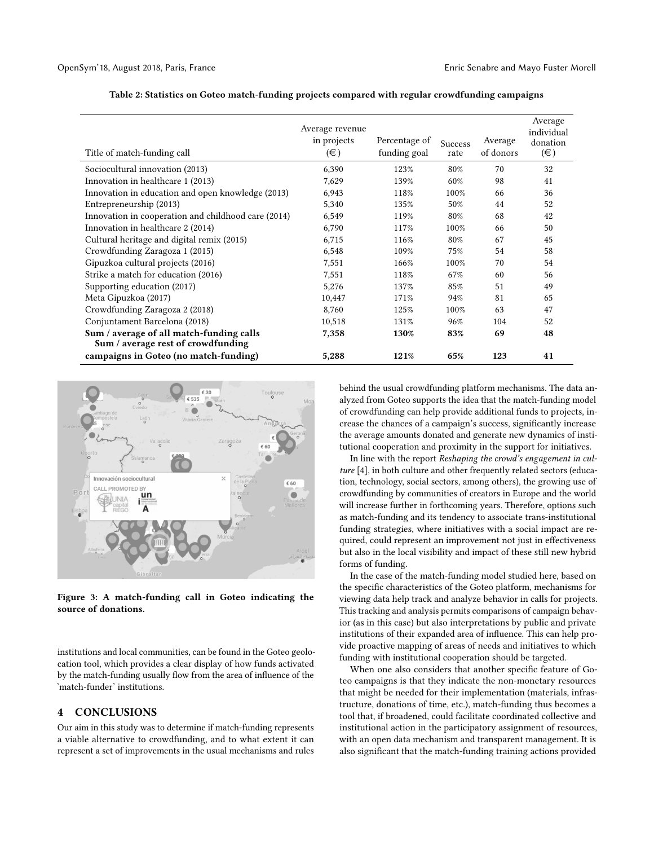| Title of match-funding call                         | Average revenue<br>in projects<br>$(\in)$ | Percentage of<br>funding goal | Success<br>rate | Average<br>of donors | Average<br>individual<br>donation<br>$(\in)$ |
|-----------------------------------------------------|-------------------------------------------|-------------------------------|-----------------|----------------------|----------------------------------------------|
| Sociocultural innovation (2013)                     | 6,390                                     | 123%                          | 80%             | 70                   | 32                                           |
| Innovation in healthcare 1 (2013)                   | 7,629                                     | 139%                          | 60%             | 98                   | 41                                           |
| Innovation in education and open knowledge (2013)   | 6,943                                     | 118%                          | 100%            | 66                   | 36                                           |
| Entrepreneurship (2013)                             | 5,340                                     | 135%                          | 50%             | 44                   | 52                                           |
| Innovation in cooperation and childhood care (2014) | 6,549                                     | 119%                          | 80%             | 68                   | 42                                           |
| Innovation in healthcare 2 (2014)                   | 6,790                                     | 117%                          | 100%            | 66                   | 50                                           |
| Cultural heritage and digital remix (2015)          | 6,715                                     | 116\%                         | 80%             | 67                   | 45                                           |
| Crowdfunding Zaragoza 1 (2015)                      | 6,548                                     | 109%                          | 75%             | 54                   | 58                                           |
| Gipuzkoa cultural projects (2016)                   | 7,551                                     | 166\%                         | 100%            | 70                   | 54                                           |
| Strike a match for education (2016)                 | 7,551                                     | 118%                          | 67%             | 60                   | 56                                           |
| Supporting education (2017)                         | 5,276                                     | 137%                          | 85%             | 51                   | 49                                           |
| Meta Gipuzkoa (2017)                                | 10,447                                    | 171%                          | 94%             | 81                   | 65                                           |
| Crowdfunding Zaragoza 2 (2018)                      | 8,760                                     | 125%                          | 100%            | 63                   | 47                                           |
| Conjuntament Barcelona (2018)                       | 10,518                                    | 131%                          | 96%             | 104                  | 52                                           |
| Sum / average of all match-funding calls            | 7,358                                     | 130%                          | 83%             | 69                   | 48                                           |
| Sum / average rest of crowdfunding                  |                                           |                               |                 |                      |                                              |
| campaigns in Goteo (no match-funding)               | 5,288                                     | 121%                          | 65%             | 123                  | 41                                           |

Table 2: Statistics on Goteo match-funding projects compared with regular crowdfunding campaigns



Figure 3: A match-funding call in Goteo indicating the source of donations.

institutions and local communities, can be found in the Goteo geolocation tool, which provides a clear display of how funds activated by the match-funding usually flow from the area of influence of the 'match-funder' institutions.

## 4 CONCLUSIONS

Our aim in this study was to determine if match-funding represents a viable alternative to crowdfunding, and to what extent it can represent a set of improvements in the usual mechanisms and rules behind the usual crowdfunding platform mechanisms. The data analyzed from Goteo supports the idea that the match-funding model of crowdfunding can help provide additional funds to projects, increase the chances of a campaign's success, significantly increase the average amounts donated and generate new dynamics of institutional cooperation and proximity in the support for initiatives.

In line with the report Reshaping the crowd's engagement in culture [4], in both culture and other frequently related sectors (education, technology, social sectors, among others), the growing use of crowdfunding by communities of creators in Europe and the world will increase further in forthcoming years. Therefore, options such as match-funding and its tendency to associate trans-institutional funding strategies, where initiatives with a social impact are required, could represent an improvement not just in effectiveness but also in the local visibility and impact of these still new hybrid forms of funding.

In the case of the match-funding model studied here, based on the specific characteristics of the Goteo platform, mechanisms for viewing data help track and analyze behavior in calls for projects. This tracking and analysis permits comparisons of campaign behavior (as in this case) but also interpretations by public and private institutions of their expanded area of influence. This can help provide proactive mapping of areas of needs and initiatives to which funding with institutional cooperation should be targeted.

When one also considers that another specific feature of Goteo campaigns is that they indicate the non-monetary resources that might be needed for their implementation (materials, infrastructure, donations of time, etc.), match-funding thus becomes a tool that, if broadened, could facilitate coordinated collective and institutional action in the participatory assignment of resources, with an open data mechanism and transparent management. It is also significant that the match-funding training actions provided